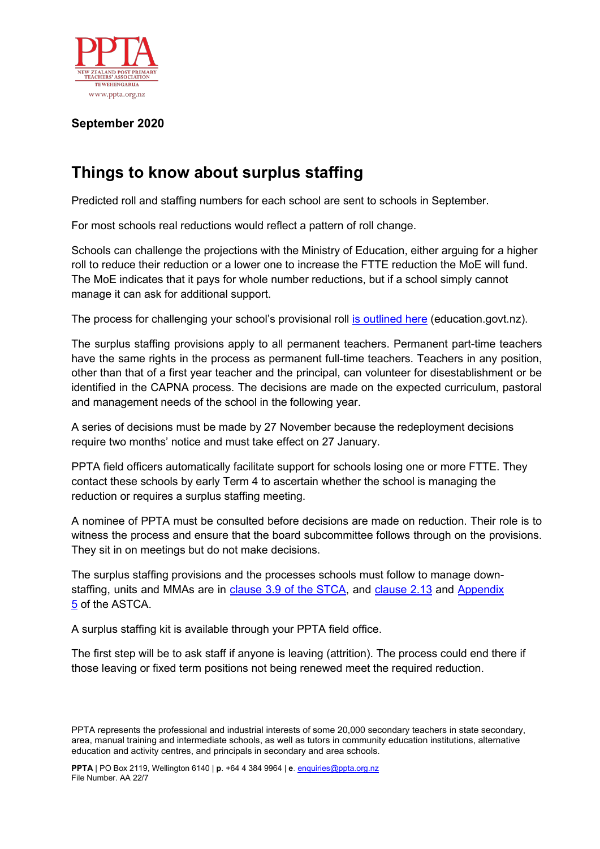

## **September 2020**

## **Things to know about surplus staffing**

Predicted roll and staffing numbers for each school are sent to schools in September.

For most schools real reductions would reflect a pattern of roll change.

Schools can challenge the projections with the Ministry of Education, either arguing for a higher roll to reduce their reduction or a lower one to increase the FTTE reduction the MoE will fund. The MoE indicates that it pays for whole number reductions, but if a school simply cannot manage it can ask for additional support.

The process for challenging your school's provisional roll [is outlined here](https://www.education.govt.nz/school/funding-and-financials/resourcing/school-staffing/school-staffing-cycle/provisional-roll-review/#sh-provisional%20role%20review) (education.govt.nz).

The surplus staffing provisions apply to all permanent teachers. Permanent part-time teachers [have the same rights in the p](https://education.govt.nz/school/running-a-school/resourcing/school-staffing/school-staffing-cycle/provisional-roll-review)rocess as permanent full-time teachers. Teachers in any position, other than that of a first year teacher and the principal, can volunteer for disestablishment or be identified in the CAPNA process. The decisions are made on the expected curriculum, pastoral and management needs of the school in the following year.

A series of decisions must be made by 27 November because the redeployment decisions require two months' notice and must take effect on 27 January.

PPTA field officers automatically facilitate support for schools losing one or more FTTE. They contact these schools by early Term 4 to ascertain whether the school is managing the reduction or requires a surplus staffing meeting.

A nominee of PPTA must be consulted before decisions are made on reduction. Their role is to witness the process and ensure that the board subcommittee follows through on the provisions. They sit in on meetings but do not make decisions.

The surplus staffing provisions and the processes schools must follow to manage downstaffing, units and MMAs are in [clause 3.9 of the STCA,](https://www.ppta.org.nz/collective-agreements/secondary-teachers-collective-agreement-stca/part-3-terms-of-employment/#Surplus-Staffing-3.9) and [clause 2.13](https://www.ppta.org.nz/collective-agreements/area-school-teachers-collective-agreement-astca/part-two-terms-of-employment/#Surplus-Staffing-Provisions-2.13) and Appendix [5](https://www.ppta.org.nz/collective-agreements/area-school-teachers-collective-agreement-astca/appendix-5-surplus-staffing-procedures/) of the ASTCA.

A surplus staffing kit is available through your PPTA field office.

The first step will be to ask staff if anyone is leaving (attrition). The process could end there if those leaving or fixed term positions not being renewed meet the required reduction.

PPTA represents the professional and industrial interests of some 20,000 secondary teachers in state secondary, area, manual training and intermediate schools, as well as tutors in community education institutions, alternative education and activity centres, and principals in secondary and area schools.